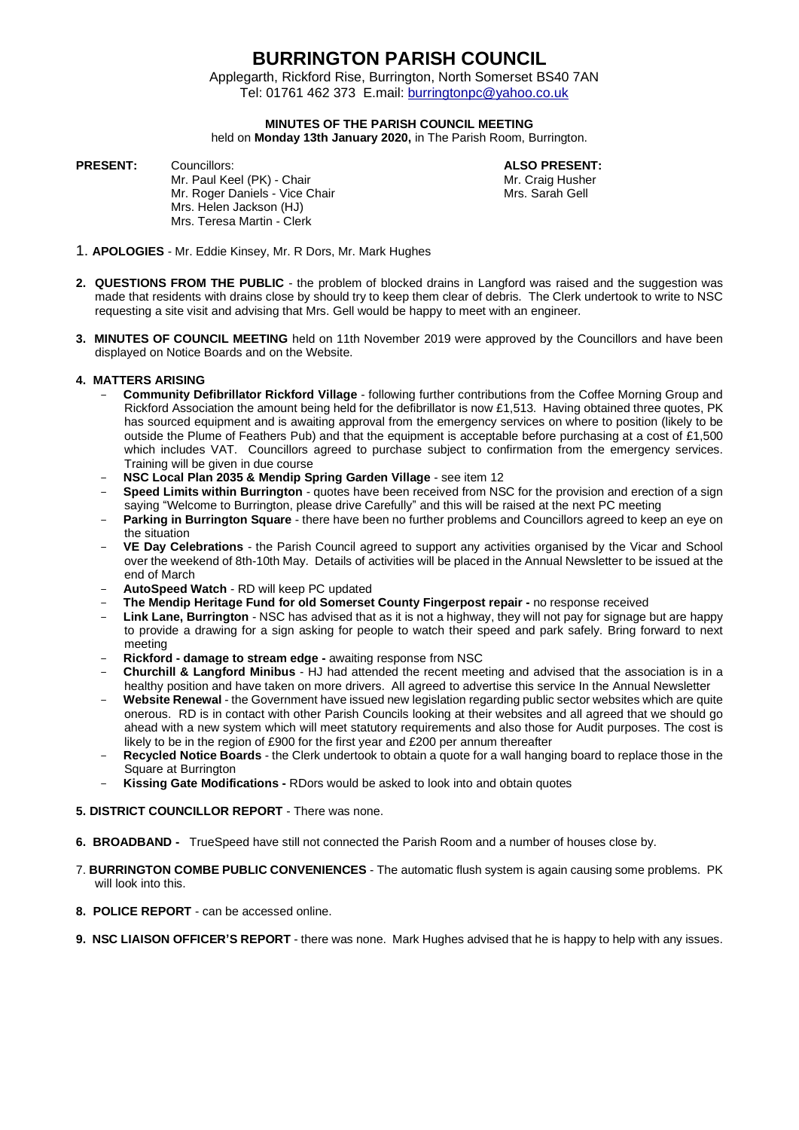Applegarth, Rickford Rise, Burrington, North Somerset BS40 7AN Tel: 01761 462 373 E.mail: [burringtonpc@yahoo.co.uk](mailto:burringtonpc@yahoo.co.uk)

## **MINUTES OF THE PARISH COUNCIL MEETING**

held on **Monday 13th January 2020,** in The Parish Room, Burrington.

**PRESENT:** Councillors: **ALSO PRESENT:**

Mr. Paul Keel (PK) - Chair Microsoft Chair Mr. Craig Husher<br>Mr. Roger Daniels - Vice Chair Mr. Sarah Gell Mr. Roger Daniels - Vice Chair Mrs. Helen Jackson (HJ) Mrs. Teresa Martin - Clerk

- 1. **APOLOGIES** Mr. Eddie Kinsey, Mr. R Dors, Mr. Mark Hughes
- **2. QUESTIONS FROM THE PUBLIC** the problem of blocked drains in Langford was raised and the suggestion was made that residents with drains close by should try to keep them clear of debris. The Clerk undertook to write to NSC requesting a site visit and advising that Mrs. Gell would be happy to meet with an engineer.
- **3. MINUTES OF COUNCIL MEETING** held on 11th November 2019 were approved by the Councillors and have been displayed on Notice Boards and on the Website.

### **4. MATTERS ARISING**

- **Community Defibrillator Rickford Village** following further contributions from the Coffee Morning Group and Rickford Association the amount being held for the defibrillator is now £1,513. Having obtained three quotes, PK has sourced equipment and is awaiting approval from the emergency services on where to position (likely to be outside the Plume of Feathers Pub) and that the equipment is acceptable before purchasing at a cost of £1,500 which includes VAT. Councillors agreed to purchase subject to confirmation from the emergency services. Training will be given in due course
- **NSC Local Plan 2035 & Mendip Spring Garden Village** see item 12
- **Speed Limits within Burrington** quotes have been received from NSC for the provision and erection of a sign saying "Welcome to Burrington, please drive Carefully" and this will be raised at the next PC meeting
- **Parking in Burrington Square** there have been no further problems and Councillors agreed to keep an eye on the situation
- **VE Day Celebrations** the Parish Council agreed to support any activities organised by the Vicar and School over the weekend of 8th-10th May. Details of activities will be placed in the Annual Newsletter to be issued at the end of March
- **AutoSpeed Watch** RD will keep PC updated
- **The Mendip Heritage Fund for old Somerset County Fingerpost repair -** no response received
- **Link Lane, Burrington** NSC has advised that as it is not a highway, they will not pay for signage but are happy to provide a drawing for a sign asking for people to watch their speed and park safely. Bring forward to next meeting
- **Rickford - damage to stream edge -** awaiting response from NSC
- **Churchill & Langford Minibus** HJ had attended the recent meeting and advised that the association is in a healthy position and have taken on more drivers. All agreed to advertise this service In the Annual Newsletter
- **Website Renewal** the Government have issued new legislation regarding public sector websites which are quite onerous. RD is in contact with other Parish Councils looking at their websites and all agreed that we should go ahead with a new system which will meet statutory requirements and also those for Audit purposes. The cost is likely to be in the region of £900 for the first year and £200 per annum thereafter
- **Recycled Notice Boards** the Clerk undertook to obtain a quote for a wall hanging board to replace those in the Square at Burrington
- **Kissing Gate Modifications -** RDors would be asked to look into and obtain quotes

### **5. DISTRICT COUNCILLOR REPORT** - There was none.

- **6. BROADBAND -** TrueSpeed have still not connected the Parish Room and a number of houses close by.
- 7. **BURRINGTON COMBE PUBLIC CONVENIENCES** The automatic flush system is again causing some problems. PK will look into this.
- **8. POLICE REPORT** can be accessed online.
- **9. NSC LIAISON OFFICER'S REPORT** there was none. Mark Hughes advised that he is happy to help with any issues.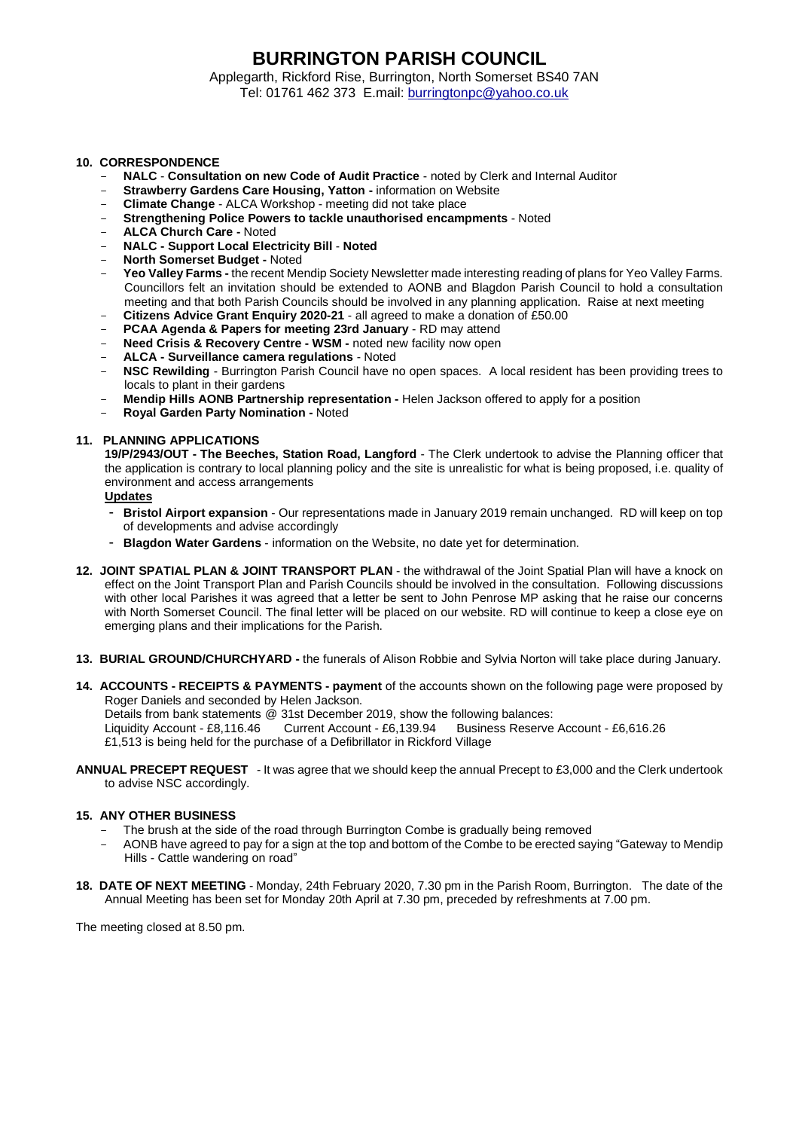Applegarth, Rickford Rise, Burrington, North Somerset BS40 7AN Tel: 01761 462 373 E.mail: [burringtonpc@yahoo.co.uk](mailto:burringtonpc@yahoo.co.uk)

### **10. CORRESPONDENCE**

- **NALC Consultation on new Code of Audit Practice** noted by Clerk and Internal Auditor
- **Strawberry Gardens Care Housing, Yatton -** information on Website
- **Climate Change** ALCA Workshop meeting did not take place
- **Strengthening Police Powers to tackle unauthorised encampments** Noted
- **ALCA Church Care -** Noted
- **NALC - Support Local Electricity Bill Noted**
- **North Somerset Budget -** Noted
- **Yeo Valley Farms -** the recent Mendip Society Newsletter made interesting reading of plans for Yeo Valley Farms. Councillors felt an invitation should be extended to AONB and Blagdon Parish Council to hold a consultation meeting and that both Parish Councils should be involved in any planning application. Raise at next meeting
- **Citizens Advice Grant Enquiry 2020-21** all agreed to make a donation of £50.00
- **PCAA Agenda & Papers for meeting 23rd January** RD may attend
- **Need Crisis & Recovery Centre - WSM -** noted new facility now open
- **ALCA - Surveillance camera regulations** Noted
- **NSC Rewilding** Burrington Parish Council have no open spaces. A local resident has been providing trees to locals to plant in their gardens
- **Mendip Hills AONB Partnership representation -** Helen Jackson offered to apply for a position
- **Royal Garden Party Nomination -** Noted

#### **11. PLANNING APPLICATIONS**

**19/P/2943/OUT - The Beeches, Station Road, Langford** - The Clerk undertook to advise the Planning officer that the application is contrary to local planning policy and the site is unrealistic for what is being proposed, i.e. quality of environment and access arrangements

**Updates**

- **Bristol Airport expansion** Our representations made in January 2019 remain unchanged. RD will keep on top of developments and advise accordingly
- **Blagdon Water Gardens** information on the Website, no date yet for determination.
- **12. JOINT SPATIAL PLAN & JOINT TRANSPORT PLAN** the withdrawal of the Joint Spatial Plan will have a knock on effect on the Joint Transport Plan and Parish Councils should be involved in the consultation. Following discussions with other local Parishes it was agreed that a letter be sent to John Penrose MP asking that he raise our concerns with North Somerset Council. The final letter will be placed on our website. RD will continue to keep a close eye on emerging plans and their implications for the Parish.
- **13. BURIAL GROUND/CHURCHYARD -** the funerals of Alison Robbie and Sylvia Norton will take place during January.
- **14. ACCOUNTS - RECEIPTS & PAYMENTS - payment** of the accounts shown on the following page were proposed by Roger Daniels and seconded by Helen Jackson.

Details from bank statements @ 31st December 2019, show the following balances:<br>Liquidity Account - £8,116.46 Current Account - £6,139.94 Business Reserve Liquidity Account - £8,116.46 Current Account - £6,139.94 Business Reserve Account - £6,616.26 £1,513 is being held for the purchase of a Defibrillator in Rickford Village

**ANNUAL PRECEPT REQUEST** - It was agree that we should keep the annual Precept to £3,000 and the Clerk undertook to advise NSC accordingly.

#### **15. ANY OTHER BUSINESS**

- The brush at the side of the road through Burrington Combe is gradually being removed
- AONB have agreed to pay for a sign at the top and bottom of the Combe to be erected saying "Gateway to Mendip Hills - Cattle wandering on road"
- **18. DATE OF NEXT MEETING** Monday, 24th February 2020, 7.30 pm in the Parish Room, Burrington. The date of the Annual Meeting has been set for Monday 20th April at 7.30 pm, preceded by refreshments at 7.00 pm.

The meeting closed at 8.50 pm.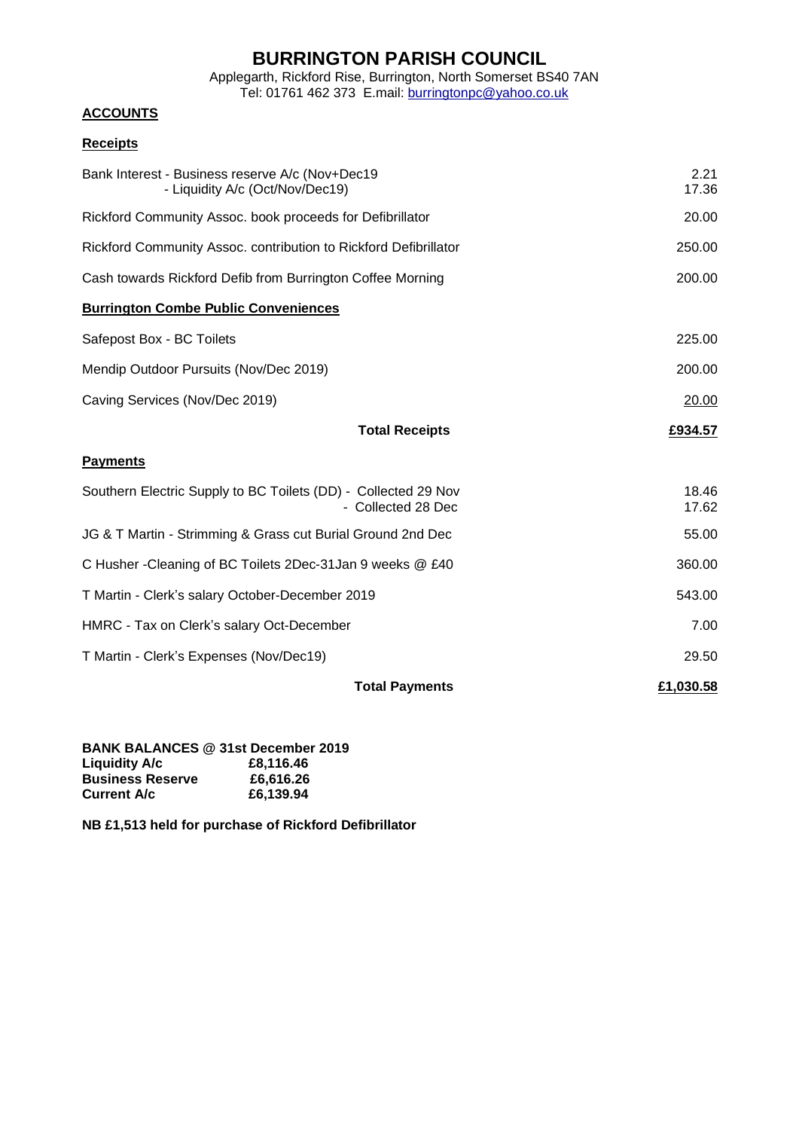Applegarth, Rickford Rise, Burrington, North Somerset BS40 7AN Tel: 01761 462 373 E.mail: [burringtonpc@yahoo.co.uk](mailto:burringtonpc@yahoo.co.uk)

## **ACCOUNTS**

## **Receipts**

| <b>Total Payments</b>                                                                | £1,030.58      |
|--------------------------------------------------------------------------------------|----------------|
| T Martin - Clerk's Expenses (Nov/Dec19)                                              | 29.50          |
| HMRC - Tax on Clerk's salary Oct-December                                            | 7.00           |
| T Martin - Clerk's salary October-December 2019                                      | 543.00         |
| C Husher - Cleaning of BC Toilets 2Dec-31 Jan 9 weeks @ £40                          | 360.00         |
| JG & T Martin - Strimming & Grass cut Burial Ground 2nd Dec                          | 55.00          |
| Southern Electric Supply to BC Toilets (DD) - Collected 29 Nov<br>- Collected 28 Dec | 18.46<br>17.62 |
| <b>Payments</b>                                                                      |                |
| <b>Total Receipts</b>                                                                | £934.57        |
| Caving Services (Nov/Dec 2019)                                                       | 20.00          |
| Mendip Outdoor Pursuits (Nov/Dec 2019)                                               | 200.00         |
| Safepost Box - BC Toilets                                                            | 225.00         |
| <b>Burrington Combe Public Conveniences</b>                                          |                |
| Cash towards Rickford Defib from Burrington Coffee Morning                           | 200.00         |
| Rickford Community Assoc. contribution to Rickford Defibrillator                     | 250.00         |
| Rickford Community Assoc. book proceeds for Defibrillator                            | 20.00          |
| Bank Interest - Business reserve A/c (Nov+Dec19<br>- Liquidity A/c (Oct/Nov/Dec19)   | 2.21<br>17.36  |
|                                                                                      |                |

### **BANK BALANCES @ 31st December 2019 Liquidity A/c Business Reserve £6,616.26 Current A/c £6,139.94**

**NB £1,513 held for purchase of Rickford Defibrillator**